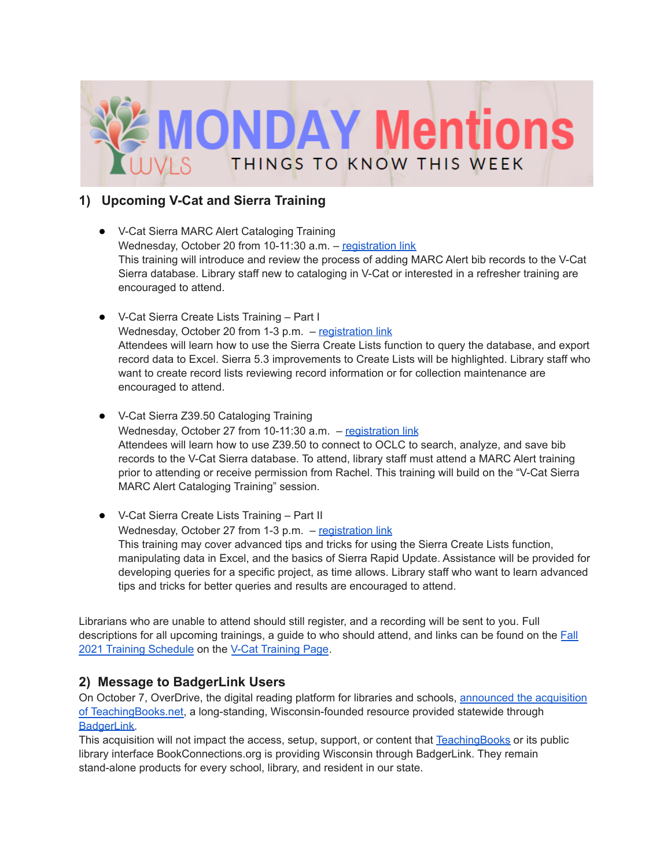

### **1) Upcoming V-Cat and Sierra Training**

- V-Cat Sierra MARC Alert Cataloging Training Wednesday, October 20 from 10-11:30 a.m. - [registration](https://forms.gle/CxyBBkstJmKYendL8) link This training will introduce and review the process of adding MARC Alert bib records to the V-Cat Sierra database. Library staff new to cataloging in V-Cat or interested in a refresher training are encouraged to attend.
- V-Cat Sierra Create Lists Training Part I Wednesday, October 20 from 1-3 p.m. - [registration](https://forms.gle/HfUCmWrmxMesj7279) link Attendees will learn how to use the Sierra Create Lists function to query the database, and export record data to Excel. Sierra 5.3 improvements to Create Lists will be highlighted. Library staff who want to create record lists reviewing record information or for collection maintenance are encouraged to attend.
- V-Cat Sierra Z39.50 Cataloging Training Wednesday, October 27 from 10-11:30  $a.m.$  – [registration](https://forms.gle/URXMAm6eFzKcKN5J8) link Attendees will learn how to use Z39.50 to connect to OCLC to search, analyze, and save bib records to the V-Cat Sierra database. To attend, library staff must attend a MARC Alert training prior to attending or receive permission from Rachel. This training will build on the "V-Cat Sierra MARC Alert Cataloging Training" session.
- V-Cat Sierra Create Lists Training Part II Wednesday, October 27 from 1-3 p.m. - [registration](https://forms.gle/3WLEz3YT4v8eQstB7) link This training may cover advanced tips and tricks for using the Sierra Create Lists function, manipulating data in Excel, and the basics of Sierra Rapid Update. Assistance will be provided for developing queries for a specific project, as time allows. Library staff who want to learn advanced tips and tricks for better queries and results are encouraged to attend.

Librarians who are unable to attend should still register, and a recording will be sent to you. Full descriptions for all upcoming trainings, a guide to who should attend, and links can be found on the [Fall](https://wvls.org/wp-content/uploads/2021/10/Fall-2021-V-Cat-Training_Updated-2010.10.08.pdf) 2021 Training [Schedule](https://wvls.org/wp-content/uploads/2021/10/Fall-2021-V-Cat-Training_Updated-2010.10.08.pdf) on the V-Cat [Training](https://www.wvls.org/v-cat-training/) Page.

#### **2) Message to BadgerLink Users**

On October 7, OverDrive, the digital reading platform for libraries and schools, [announced](https://www.prnewswire.com/news-releases/overdrive-education-strengthens-curriculum-focus-with-acquisition-of-teachingbooksnet-301395465.html) the acquisition of [TeachingBooks.net,](https://www.prnewswire.com/news-releases/overdrive-education-strengthens-curriculum-focus-with-acquisition-of-teachingbooksnet-301395465.html) a long-standing, Wisconsin-founded resource provided statewide through [BadgerLink.](https://badgerlink.dpi.wi.gov/)

This acquisition will not impact the access, setup, support, or content that [TeachingBooks](https://badgerlink.dpi.wi.gov/resource/teachingbooks) or its public library interface BookConnections.org is providing Wisconsin through BadgerLink. They remain stand-alone products for every school, library, and resident in our state.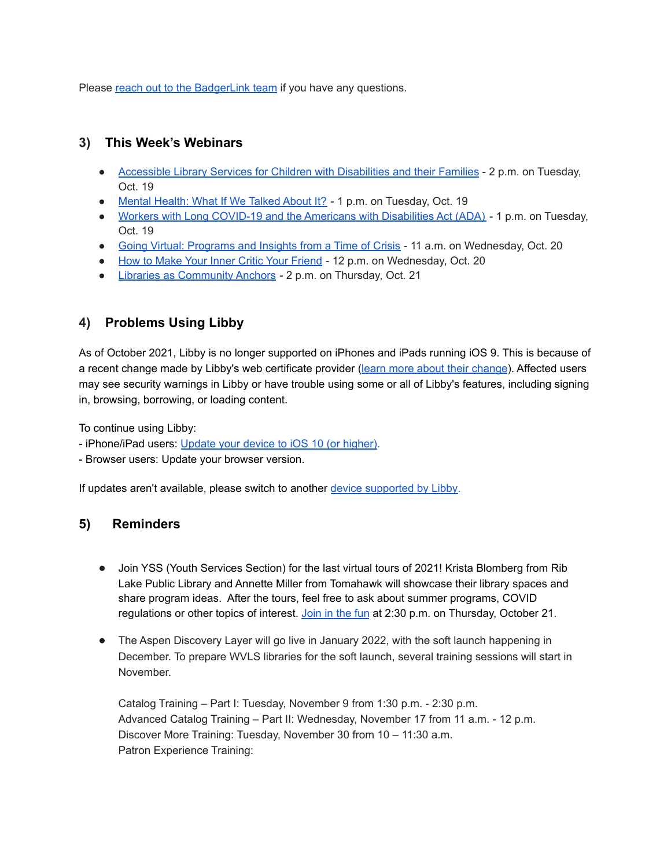Please reach out to the [BadgerLink](https://badgerlink.dpi.wi.gov/contact-us) team if you have any questions.

#### **3) This Week's Webinars**

- [Accessible](https://netforumpro.com/eweb/DynamicPage.aspx?Site=SEFLIN&WebCode=EventDetail&evt_key=ff76b9fc-b2db-42eb-98e5-78e61f0d8ba0) Library Services for Children with Disabilities and their Families 2 p.m. on Tuesday, Oct. 19
- Mental [Health:](https://register.gotowebinar.com/register/5271394511398334735?fbclid=IwAR0tJvaEgE1LYX92aOg587MWNvWzjqu-yFw7rbqakKzypIlHsy7DYoCbWKA) What If We Talked About It? 1 p.m. on Tuesday, Oct. 19
- Workers with Long COVID-19 and the Americans with [Disabilities](https://dev.accessibilityonline.org/ADA-Audio/session/?id=110962) Act (ADA) 1 p.m. on Tuesday, Oct. 19
- Going Virtual: [Programs](https://ala-events.zoom.us/webinar/register/WN_YzzQbYaLQVK6_uZB1NzTGQ) and Insights from a Time of Crisis 11 a.m. on Wednesday, Oct. 20
- How to Make Your Inner Critic Your [Friend](https://www.eventbrite.com/e/learning-lab-how-to-make-your-inner-critic-your-friend-registration-167327889221) 12 p.m. on Wednesday, Oct. 20
- Libraries as [Community](https://www.eventbrite.com/e/library-2021-libraries-as-community-anchors-registration-165258497615) Anchors 2 p.m. on Thursday, Oct. 21

# **4) Problems Using Libby**

As of October 2021, Libby is no longer supported on iPhones and iPads running iOS 9. This is because of a recent change made by Libby's web certificate provider (learn more about their [change](https://letsencrypt.org/docs/dst-root-ca-x3-expiration-september-2021/)). Affected users may see security warnings in Libby or have trouble using some or all of Libby's features, including signing in, browsing, borrowing, or loading content.

To continue using Libby:

- iPhone/iPad users: [Update](https://support.apple.com/en-us/HT204204) your device to iOS 10 (or higher).

- Browser users: Update your browser version.

If updates aren't available, please switch to another device [supported](https://help.libbyapp.com/en-us/6105.htm) by Libby.

## **5) Reminders**

- Join YSS (Youth Services Section) for the last virtual tours of 2021! Krista Blomberg from Rib Lake Public Library and Annette Miller from Tomahawk will showcase their library spaces and share program ideas. After the tours, feel free to ask about summer programs, COVID regulations or other topics of interest. [Join](https://us02web.zoom.us/j/7502399842) in the fun at 2:30 p.m. on Thursday, October 21.
- The Aspen Discovery Layer will go live in January 2022, with the soft launch happening in December. To prepare WVLS libraries for the soft launch, several training sessions will start in November.

Catalog Training – Part I: Tuesday, November 9 from 1:30 p.m. - 2:30 p.m. Advanced Catalog Training – Part II: Wednesday, November 17 from 11 a.m. - 12 p.m. Discover More Training: Tuesday, November 30 from 10 – 11:30 a.m. Patron Experience Training: